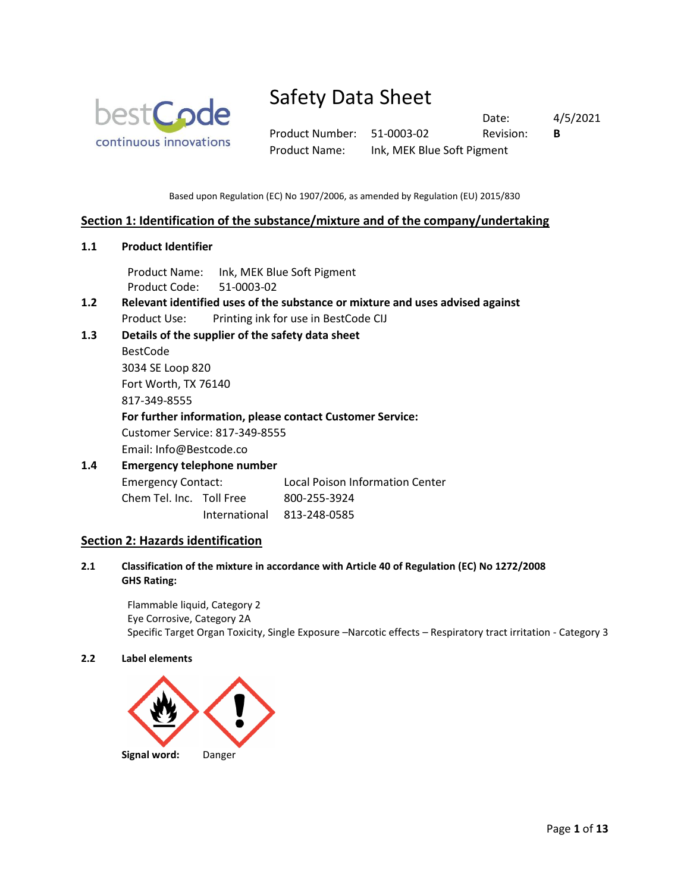

Product Number: 51-0003-02 Revision: **B** Product Name: Ink, MEK Blue Soft Pigment

Date: 4/5/2021

Based upon Regulation (EC) No 1907/2006, as amended by Regulation (EU) 2015/830

## **Section 1: Identification of the substance/mixture and of the company/undertaking**

**1.1 Product Identifier**

Product Name: Ink, MEK Blue Soft Pigment Product Code: 51-0003-02

- **1.2 Relevant identified uses of the substance or mixture and uses advised against** Product Use: Printing ink for use in BestCode CIJ
- **1.3 Details of the supplier of the safety data sheet**

BestCode 3034 SE Loop 820 Fort Worth, TX 76140 817-349-8555 **For further information, please contact Customer Service:** Customer Service: 817-349-8555

Email: Info@Bestcode.co

## **1.4 Emergency telephone number** Emergency Contact: Local Poison Information Center

Chem Tel. Inc. Toll Free 800-255-3924

International 813-248-0585

## **Section 2: Hazards identification**

**2.1 Classification of the mixture in accordance with Article 40 of Regulation (EC) No 1272/2008 GHS Rating:**

Flammable liquid, Category 2 Eye Corrosive, Category 2A Specific Target Organ Toxicity, Single Exposure –Narcotic effects – Respiratory tract irritation - Category 3

### **2.2 Label elements**

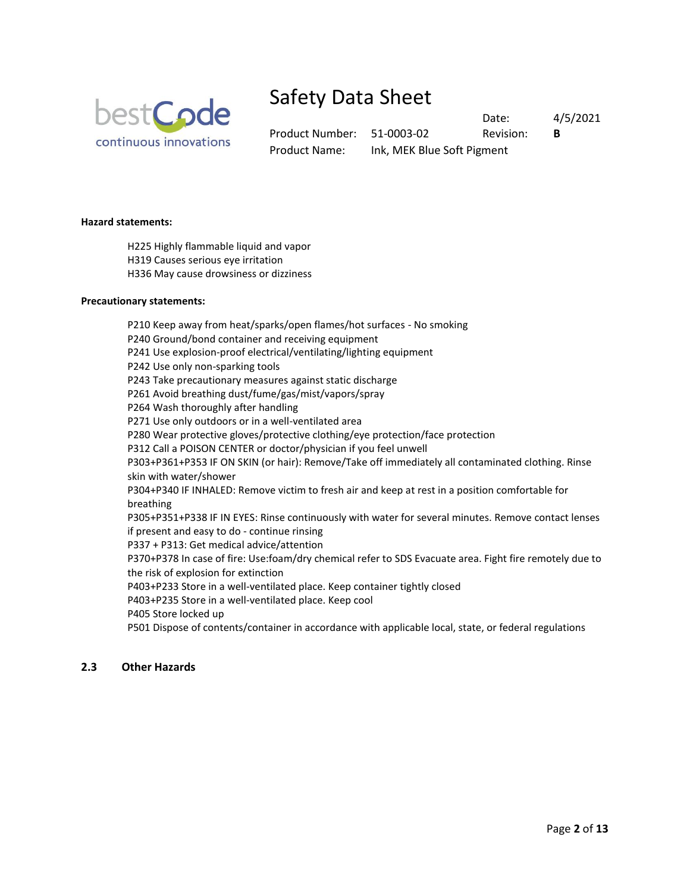

Product Number: 51-0003-02 Revision: **B** Product Name: Ink, MEK Blue Soft Pigment

Date: 4/5/2021

**Hazard statements:**

- H225 Highly flammable liquid and vapor H319 Causes serious eye irritation
- H336 May cause drowsiness or dizziness

### **Precautionary statements:**

P210 Keep away from heat/sparks/open flames/hot surfaces - No smoking P240 Ground/bond container and receiving equipment P241 Use explosion-proof electrical/ventilating/lighting equipment P242 Use only non-sparking tools P243 Take precautionary measures against static discharge P261 Avoid breathing dust/fume/gas/mist/vapors/spray P264 Wash thoroughly after handling P271 Use only outdoors or in a well-ventilated area P280 Wear protective gloves/protective clothing/eye protection/face protection P312 Call a POISON CENTER or doctor/physician if you feel unwell P303+P361+P353 IF ON SKIN (or hair): Remove/Take off immediately all contaminated clothing. Rinse skin with water/shower P304+P340 IF INHALED: Remove victim to fresh air and keep at rest in a position comfortable for breathing P305+P351+P338 IF IN EYES: Rinse continuously with water for several minutes. Remove contact lenses if present and easy to do - continue rinsing P337 + P313: Get medical advice/attention P370+P378 In case of fire: Use:foam/dry chemical refer to SDS Evacuate area. Fight fire remotely due to the risk of explosion for extinction P403+P233 Store in a well-ventilated place. Keep container tightly closed P403+P235 Store in a well-ventilated place. Keep cool P405 Store locked up P501 Dispose of contents/container in accordance with applicable local, state, or federal regulations

### **2.3 Other Hazards**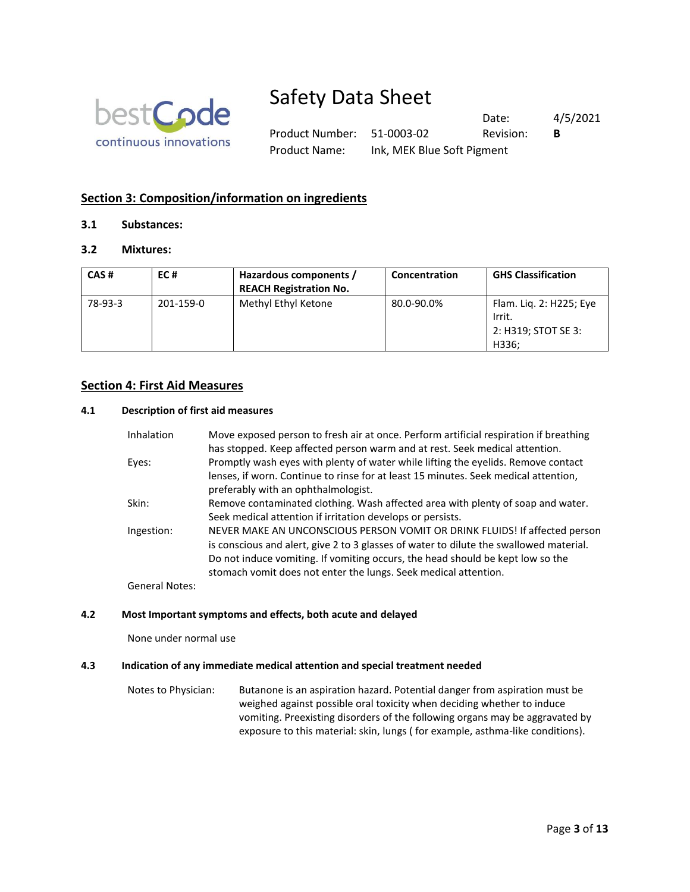

Product Number: 51-0003-02 Revision: **B** Product Name: Ink, MEK Blue Soft Pigment

Date: 4/5/2021

## **Section 3: Composition/information on ingredients**

## **3.1 Substances:**

## **3.2 Mixtures:**

| CAS#    | EC#       | Hazardous components /<br><b>REACH Registration No.</b> | Concentration | <b>GHS Classification</b>                                         |
|---------|-----------|---------------------------------------------------------|---------------|-------------------------------------------------------------------|
| 78-93-3 | 201-159-0 | Methyl Ethyl Ketone                                     | 80.0-90.0%    | Flam. Lig. 2: H225; Eye<br>Irrit.<br>2: H319; STOT SE 3:<br>H336: |

## **Section 4: First Aid Measures**

### **4.1 Description of first aid measures**

| <b>Inhalation</b> | Move exposed person to fresh air at once. Perform artificial respiration if breathing<br>has stopped. Keep affected person warm and at rest. Seek medical attention.                                                                                                                                                      |
|-------------------|---------------------------------------------------------------------------------------------------------------------------------------------------------------------------------------------------------------------------------------------------------------------------------------------------------------------------|
| Eyes:             | Promptly wash eyes with plenty of water while lifting the eyelids. Remove contact<br>lenses, if worn. Continue to rinse for at least 15 minutes. Seek medical attention,<br>preferably with an ophthalmologist.                                                                                                           |
| Skin:             | Remove contaminated clothing. Wash affected area with plenty of soap and water.<br>Seek medical attention if irritation develops or persists.                                                                                                                                                                             |
| Ingestion:        | NEVER MAKE AN UNCONSCIOUS PERSON VOMIT OR DRINK FLUIDS! If affected person<br>is conscious and alert, give 2 to 3 glasses of water to dilute the swallowed material.<br>Do not induce vomiting. If vomiting occurs, the head should be kept low so the<br>stomach vomit does not enter the lungs. Seek medical attention. |
| General Notes:    |                                                                                                                                                                                                                                                                                                                           |

### **4.2 Most Important symptoms and effects, both acute and delayed**

None under normal use

### **4.3 Indication of any immediate medical attention and special treatment needed**

Notes to Physician: Butanone is an aspiration hazard. Potential danger from aspiration must be weighed against possible oral toxicity when deciding whether to induce vomiting. Preexisting disorders of the following organs may be aggravated by exposure to this material: skin, lungs ( for example, asthma-like conditions).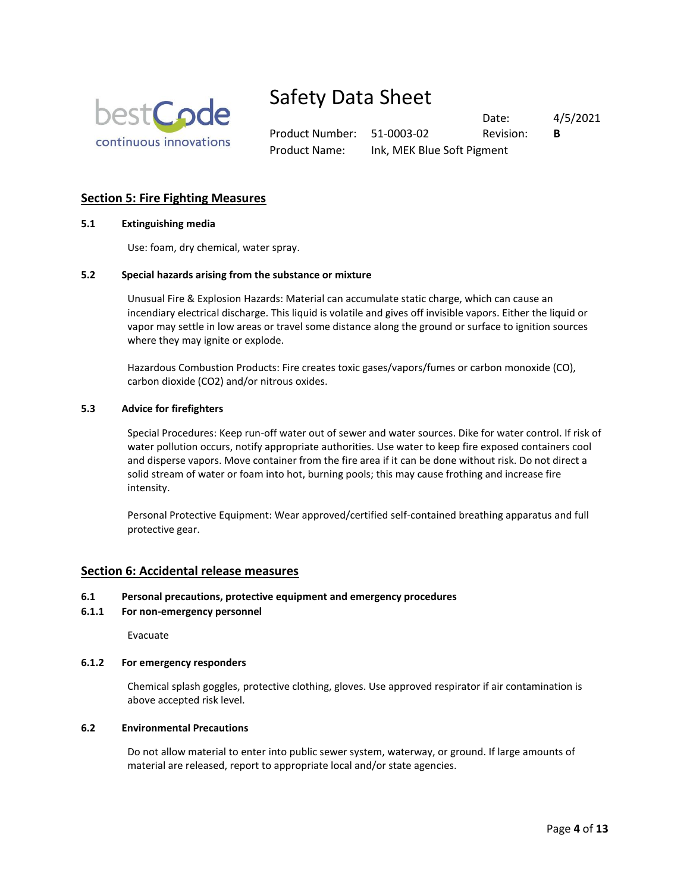

Product Number: 51-0003-02 Revision: **B** Product Name: Ink, MEK Blue Soft Pigment

Date: 4/5/2021

## **Section 5: Fire Fighting Measures**

#### **5.1 Extinguishing media**

Use: foam, dry chemical, water spray.

### **5.2 Special hazards arising from the substance or mixture**

Unusual Fire & Explosion Hazards: Material can accumulate static charge, which can cause an incendiary electrical discharge. This liquid is volatile and gives off invisible vapors. Either the liquid or vapor may settle in low areas or travel some distance along the ground or surface to ignition sources where they may ignite or explode.

Hazardous Combustion Products: Fire creates toxic gases/vapors/fumes or carbon monoxide (CO), carbon dioxide (CO2) and/or nitrous oxides.

#### **5.3 Advice for firefighters**

Special Procedures: Keep run-off water out of sewer and water sources. Dike for water control. If risk of water pollution occurs, notify appropriate authorities. Use water to keep fire exposed containers cool and disperse vapors. Move container from the fire area if it can be done without risk. Do not direct a solid stream of water or foam into hot, burning pools; this may cause frothing and increase fire intensity.

Personal Protective Equipment: Wear approved/certified self-contained breathing apparatus and full protective gear.

### **Section 6: Accidental release measures**

#### **6.1 Personal precautions, protective equipment and emergency procedures**

#### **6.1.1 For non-emergency personnel**

Evacuate

#### **6.1.2 For emergency responders**

Chemical splash goggles, protective clothing, gloves. Use approved respirator if air contamination is above accepted risk level.

#### **6.2 Environmental Precautions**

Do not allow material to enter into public sewer system, waterway, or ground. If large amounts of material are released, report to appropriate local and/or state agencies.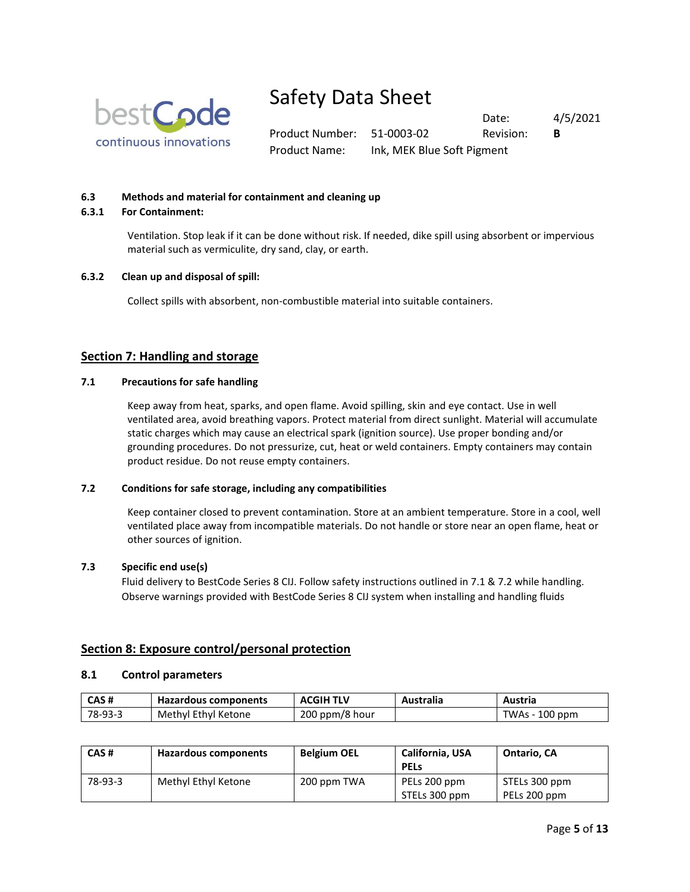

Product Number: 51-0003-02 Revision: **B** Product Name: Ink, MEK Blue Soft Pigment

Date: 4/5/2021

## **6.3 Methods and material for containment and cleaning up**

#### **6.3.1 For Containment:**

Ventilation. Stop leak if it can be done without risk. If needed, dike spill using absorbent or impervious material such as vermiculite, dry sand, clay, or earth.

#### **6.3.2 Clean up and disposal of spill:**

Collect spills with absorbent, non-combustible material into suitable containers.

## **Section 7: Handling and storage**

#### **7.1 Precautions for safe handling**

Keep away from heat, sparks, and open flame. Avoid spilling, skin and eye contact. Use in well ventilated area, avoid breathing vapors. Protect material from direct sunlight. Material will accumulate static charges which may cause an electrical spark (ignition source). Use proper bonding and/or grounding procedures. Do not pressurize, cut, heat or weld containers. Empty containers may contain product residue. Do not reuse empty containers.

#### **7.2 Conditions for safe storage, including any compatibilities**

Keep container closed to prevent contamination. Store at an ambient temperature. Store in a cool, well ventilated place away from incompatible materials. Do not handle or store near an open flame, heat or other sources of ignition.

#### **7.3 Specific end use(s)**

Fluid delivery to BestCode Series 8 CIJ. Follow safety instructions outlined in 7.1 & 7.2 while handling. Observe warnings provided with BestCode Series 8 CIJ system when installing and handling fluids

### **Section 8: Exposure control/personal protection**

#### **8.1 Control parameters**

| CAS#    | Hazardous components | <b>ACGIH TLV</b> | <b>Australia</b> | Austria        |
|---------|----------------------|------------------|------------------|----------------|
| 78-93-3 | Methyl Ethyl Ketone  | 200 ppm/8 hour   |                  | TWAs - 100 ppm |

| CAS#    | <b>Hazardous components</b> | <b>Belgium OEL</b> | California, USA<br><b>PELS</b> | <b>Ontario, CA</b>            |
|---------|-----------------------------|--------------------|--------------------------------|-------------------------------|
| 78-93-3 | Methyl Ethyl Ketone         | 200 ppm TWA        | PELs 200 ppm<br>STELs 300 ppm  | STELs 300 ppm<br>PELs 200 ppm |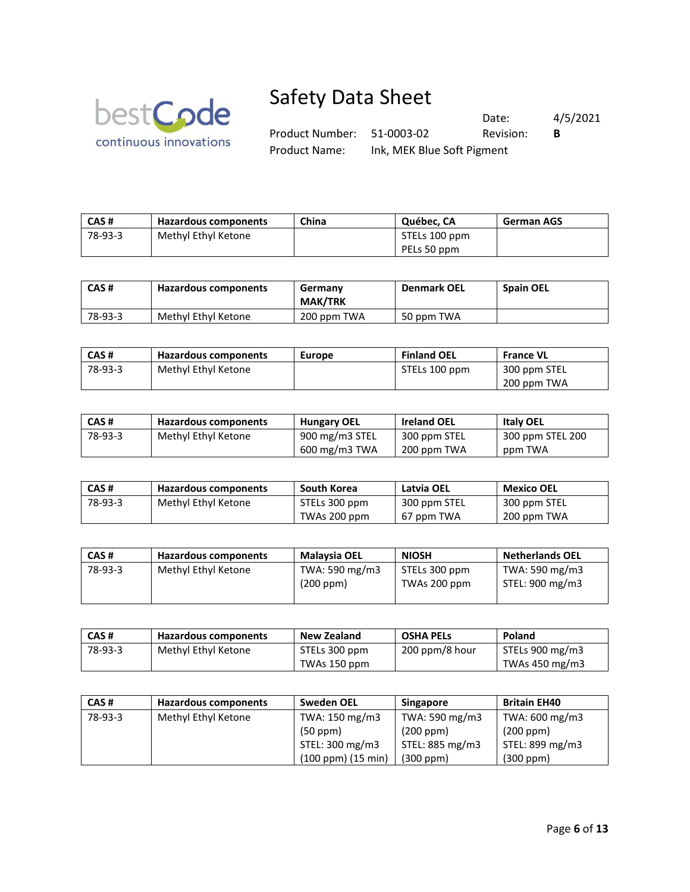

Date: 4/5/2021 Product Number: 51-0003-02 Revision: **B** Product Name: Ink, MEK Blue Soft Pigment

| CAS#    | Hazardous components | China | Québec, CA    | <b>German AGS</b> |
|---------|----------------------|-------|---------------|-------------------|
| 78-93-3 | Methyl Ethyl Ketone  |       | STELs 100 ppm |                   |
|         |                      |       | PELs 50 ppm   |                   |

| CAS#    | Hazardous components | Germany<br><b>MAK/TRK</b> | <b>Denmark OEL</b> | <b>Spain OEL</b> |
|---------|----------------------|---------------------------|--------------------|------------------|
| 78-93-3 | Methyl Ethyl Ketone  | 200 ppm TWA               | 50 ppm TWA         |                  |

| CAS#    | Hazardous components | Europe | <b>Finland OEL</b> | <b>France VL</b> |
|---------|----------------------|--------|--------------------|------------------|
| 78-93-3 | Methyl Ethyl Ketone  |        | STELs 100 ppm      | 300 ppm STEL     |
|         |                      |        |                    | 200 ppm TWA      |

| CAS #   | Hazardous components | <b>Hungary OEL</b> | <b>Ireland OEL</b> | <b>Italy OEL</b> |
|---------|----------------------|--------------------|--------------------|------------------|
| 78-93-3 | Methyl Ethyl Ketone  | 900 mg/m3 STEL     | 300 ppm STEL       | 300 ppm STEL 200 |
|         |                      | 600 mg/m3 TWA      | 200 ppm TWA        | ppm TWA          |

| CAS #   | Hazardous components | South Korea   | Latvia OEL   | Mexico OEL   |
|---------|----------------------|---------------|--------------|--------------|
| 78-93-3 | Methyl Ethyl Ketone  | STELs 300 ppm | 300 ppm STEL | 300 ppm STEL |
|         |                      | TWAs 200 ppm  | 67 ppm TWA   | 200 ppm TWA  |

| CAS#    | Hazardous components | Malaysia OEL                | <b>NIOSH</b>                  | <b>Netherlands OEL</b>            |
|---------|----------------------|-----------------------------|-------------------------------|-----------------------------------|
| 78-93-3 | Methyl Ethyl Ketone  | TWA: 590 mg/m3<br>(200 ppm) | STELs 300 ppm<br>TWAs 200 ppm | TWA: 590 mg/m3<br>STEL: 900 mg/m3 |

| CAS#    | Hazardous components | <b>New Zealand</b> | <b>OSHA PELS</b> | Poland                 |
|---------|----------------------|--------------------|------------------|------------------------|
| 78-93-3 | Methyl Ethyl Ketone  | STELs 300 ppm      | 200 ppm/8 hour   | $\mid$ STELs 900 mg/m3 |
|         |                      | TWAs 150 ppm       |                  | TWAs 450 mg/m3         |

| CAS#    | <b>Hazardous components</b> | <b>Sweden OEL</b>         | <b>Singapore</b> | <b>Britain EH40</b> |
|---------|-----------------------------|---------------------------|------------------|---------------------|
| 78-93-3 | Methyl Ethyl Ketone         | TWA: 150 mg/m3            | TWA: 590 mg/m3   | TWA: 600 mg/m3      |
|         |                             | (50 ppm)                  | (200 ppm)        | (200 ppm)           |
|         |                             | STEL: 300 mg/m3           | STEL: 885 mg/m3  | STEL: 899 mg/m3     |
|         |                             | $(100$ ppm $)(15$ min $)$ | $(300$ ppm $)$   | (300 ppm)           |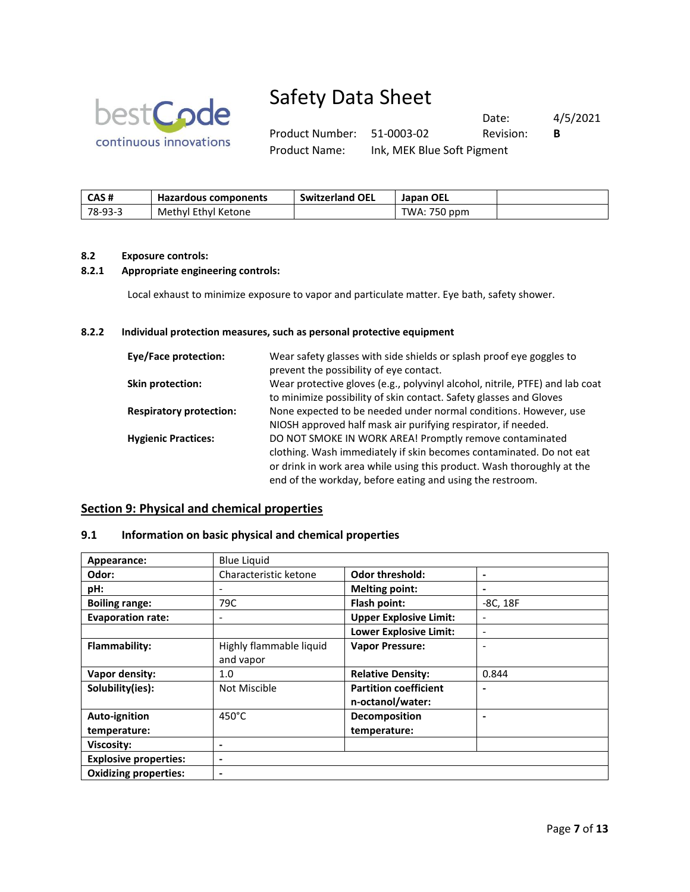

Product Number: 51-0003-02 Revision: **B** Product Name: Ink, MEK Blue Soft Pigment

Date: 4/5/2021

| CAS #   | <b>Hazardous components</b> | <b>Switzerland OEL</b> | <b>Japan OEL</b> |  |
|---------|-----------------------------|------------------------|------------------|--|
| 78-93-3 | Methyl Ethyl Ketone         |                        | TWA: 750 ppm     |  |

### **8.2 Exposure controls:**

### **8.2.1 Appropriate engineering controls:**

Local exhaust to minimize exposure to vapor and particulate matter. Eye bath, safety shower.

## **8.2.2 Individual protection measures, such as personal protective equipment**

| Eye/Face protection:           | Wear safety glasses with side shields or splash proof eye goggles to         |
|--------------------------------|------------------------------------------------------------------------------|
|                                | prevent the possibility of eye contact.                                      |
| Skin protection:               | Wear protective gloves (e.g., polyvinyl alcohol, nitrile, PTFE) and lab coat |
|                                | to minimize possibility of skin contact. Safety glasses and Gloves           |
| <b>Respiratory protection:</b> | None expected to be needed under normal conditions. However, use             |
|                                | NIOSH approved half mask air purifying respirator, if needed.                |
| <b>Hygienic Practices:</b>     | DO NOT SMOKE IN WORK AREA! Promptly remove contaminated                      |
|                                | clothing. Wash immediately if skin becomes contaminated. Do not eat          |
|                                | or drink in work area while using this product. Wash thoroughly at the       |
|                                | end of the workday, before eating and using the restroom.                    |

## **Section 9: Physical and chemical properties**

## **9.1 Information on basic physical and chemical properties**

| Appearance:                  | <b>Blue Liquid</b>      |                               |                          |
|------------------------------|-------------------------|-------------------------------|--------------------------|
| Odor:                        | Characteristic ketone   | <b>Odor threshold:</b>        | $\blacksquare$           |
| pH:                          | -                       | <b>Melting point:</b>         | $\blacksquare$           |
| <b>Boiling range:</b>        | 79C                     | Flash point:                  | $-8C, 18F$               |
| <b>Evaporation rate:</b>     | -                       | <b>Upper Explosive Limit:</b> | $\overline{\phantom{0}}$ |
|                              |                         | <b>Lower Explosive Limit:</b> | $\overline{\phantom{0}}$ |
| Flammability:                | Highly flammable liquid | <b>Vapor Pressure:</b>        | ٠                        |
|                              | and vapor               |                               |                          |
| Vapor density:               | 1.0                     | <b>Relative Density:</b>      | 0.844                    |
| Solubility(ies):             | Not Miscible            | <b>Partition coefficient</b>  |                          |
|                              |                         | n-octanol/water:              |                          |
| Auto-ignition                | $450^{\circ}$ C         | Decomposition                 |                          |
| temperature:                 |                         | temperature:                  |                          |
| <b>Viscosity:</b>            |                         |                               |                          |
| <b>Explosive properties:</b> | -                       |                               |                          |
| <b>Oxidizing properties:</b> | ۰                       |                               |                          |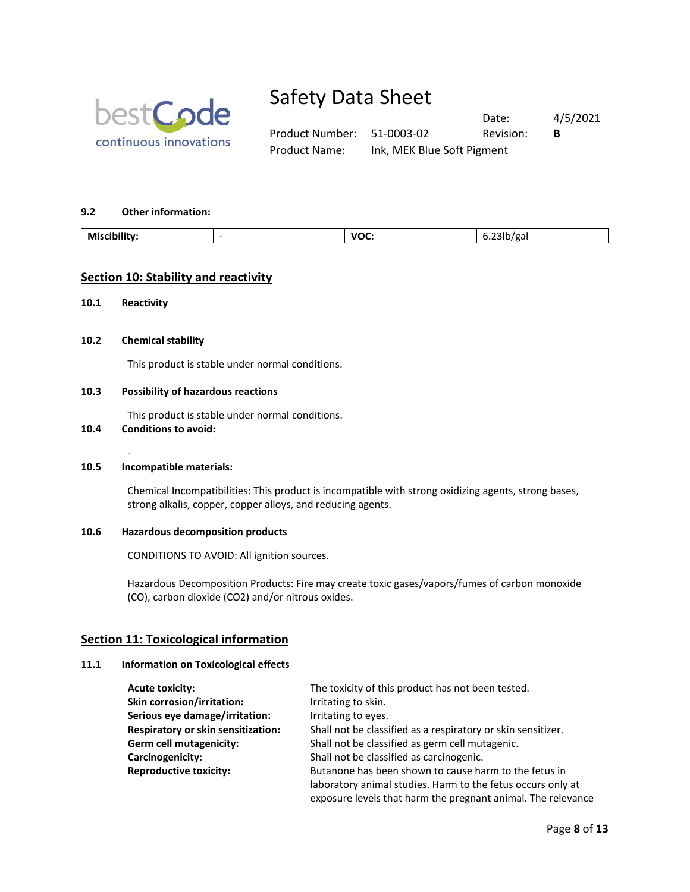

Date: 4/5/2021 Product Number: 51-0003-02 Revision: **B** Product Name: Ink, MEK Blue Soft Pigment

#### **9.2 Other information:**

| <br>Mic<br>___ | - | <b>VOC</b><br>___ | --<br>$\sim$<br>ч. |
|----------------|---|-------------------|--------------------|
|                |   |                   |                    |

## **Section 10: Stability and reactivity**

**10.1 Reactivity**

#### **10.2 Chemical stability**

This product is stable under normal conditions.

#### **10.3 Possibility of hazardous reactions**

This product is stable under normal conditions.

### **10.4 Conditions to avoid:**

#### - **10.5 Incompatible materials:**

Chemical Incompatibilities: This product is incompatible with strong oxidizing agents, strong bases, strong alkalis, copper, copper alloys, and reducing agents.

#### **10.6 Hazardous decomposition products**

CONDITIONS TO AVOID: All ignition sources.

Hazardous Decomposition Products: Fire may create toxic gases/vapors/fumes of carbon monoxide (CO), carbon dioxide (CO2) and/or nitrous oxides.

#### **Section 11: Toxicological information**

#### **11.1 Information on Toxicological effects**

| <b>Acute toxicity:</b>                    | The toxicity of this product has not been tested.            |
|-------------------------------------------|--------------------------------------------------------------|
| <b>Skin corrosion/irritation:</b>         | Irritating to skin.                                          |
| Serious eye damage/irritation:            | Irritating to eyes.                                          |
| <b>Respiratory or skin sensitization:</b> | Shall not be classified as a respiratory or skin sensitizer. |
| Germ cell mutagenicity:                   | Shall not be classified as germ cell mutagenic.              |
| Carcinogenicity:                          | Shall not be classified as carcinogenic.                     |
| <b>Reproductive toxicity:</b>             | Butanone has been shown to cause harm to the fetus in        |
|                                           | laboratory animal studies. Harm to the fetus occurs only at  |
|                                           | exposure levels that harm the pregnant animal. The relevance |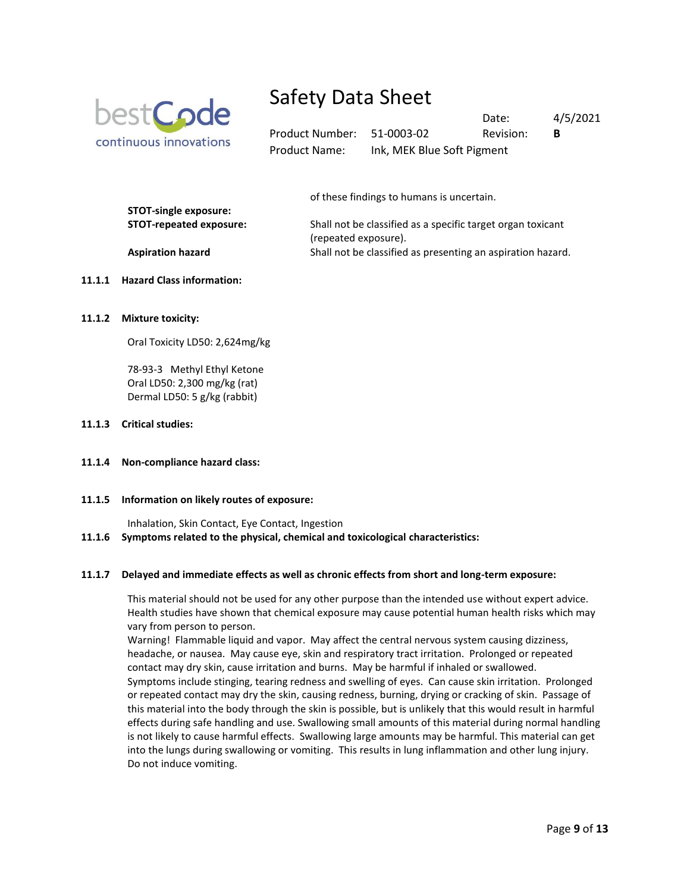

Date: 4/5/2021 Product Number: 51-0003-02 Revision: **B** Product Name: Ink, MEK Blue Soft Pigment

of these findings to humans is uncertain.

| $5.91$ $5.11$ $5.12$ $5.18$ $5.9$ $5.1$ $5.1$ |                                                             |
|-----------------------------------------------|-------------------------------------------------------------|
| STOT-repeated exposure:                       | Shall not be classified as a specific target organ toxicant |
|                                               | (repeated exposure).                                        |
| <b>Aspiration hazard</b>                      | Shall not be classified as presenting an aspiration hazard. |
|                                               |                                                             |

#### **11.1.1 Hazard Class information:**

**STOT-single exposure:**

**11.1.2 Mixture toxicity:** 

Oral Toxicity LD50: 2,624mg/kg

78-93-3 Methyl Ethyl Ketone Oral LD50: 2,300 mg/kg (rat) Dermal LD50: 5 g/kg (rabbit)

#### **11.1.3 Critical studies:**

**11.1.4 Non-compliance hazard class:** 

#### **11.1.5 Information on likely routes of exposure:**

Inhalation, Skin Contact, Eye Contact, Ingestion

**11.1.6 Symptoms related to the physical, chemical and toxicological characteristics:** 

#### **11.1.7 Delayed and immediate effects as well as chronic effects from short and long-term exposure:**

This material should not be used for any other purpose than the intended use without expert advice. Health studies have shown that chemical exposure may cause potential human health risks which may vary from person to person.

Warning! Flammable liquid and vapor. May affect the central nervous system causing dizziness, headache, or nausea. May cause eye, skin and respiratory tract irritation. Prolonged or repeated contact may dry skin, cause irritation and burns. May be harmful if inhaled or swallowed. Symptoms include stinging, tearing redness and swelling of eyes. Can cause skin irritation. Prolonged or repeated contact may dry the skin, causing redness, burning, drying or cracking of skin. Passage of this material into the body through the skin is possible, but is unlikely that this would result in harmful effects during safe handling and use. Swallowing small amounts of this material during normal handling is not likely to cause harmful effects. Swallowing large amounts may be harmful. This material can get into the lungs during swallowing or vomiting. This results in lung inflammation and other lung injury. Do not induce vomiting.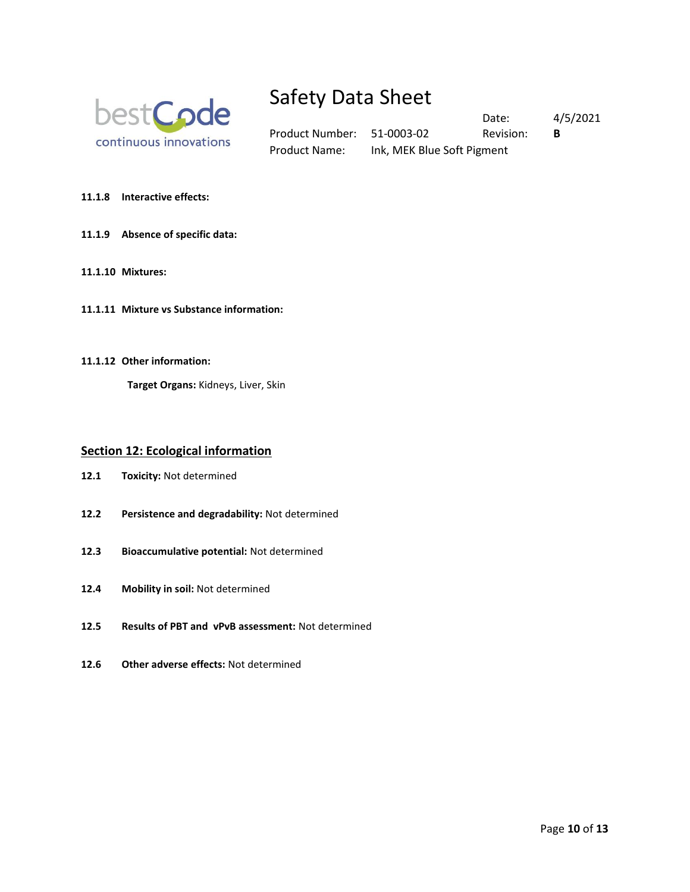

Product Number: 51-0003-02 Revision: **B** Product Name: Ink, MEK Blue Soft Pigment

Date: 4/5/2021

**11.1.8 Interactive effects:** 

#### **11.1.9 Absence of specific data:**

- **11.1.10 Mixtures:**
- **11.1.11 Mixture vs Substance information:**
- **11.1.12 Other information:**

**Target Organs:** Kidneys, Liver, Skin

### **Section 12: Ecological information**

- **12.1 Toxicity:** Not determined
- **12.2 Persistence and degradability:** Not determined
- **12.3 Bioaccumulative potential:** Not determined
- **12.4 Mobility in soil:** Not determined
- **12.5 Results of PBT and vPvB assessment:** Not determined
- **12.6 Other adverse effects:** Not determined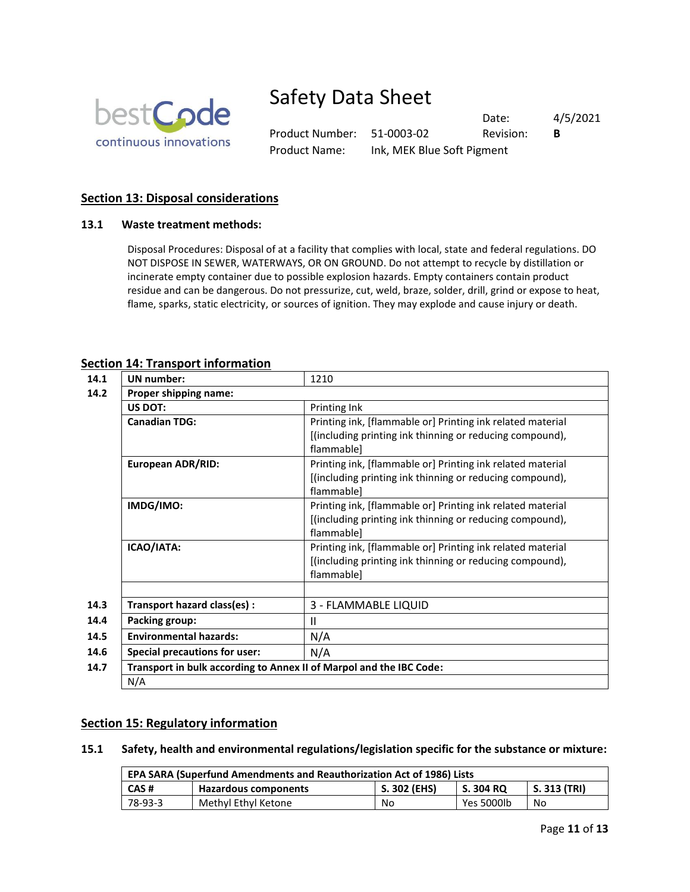

Product Number: 51-0003-02 Revision: **B** Product Name: Ink, MEK Blue Soft Pigment

Date: 4/5/2021

## **Section 13: Disposal considerations**

## **13.1 Waste treatment methods:**

Disposal Procedures: Disposal of at a facility that complies with local, state and federal regulations. DO NOT DISPOSE IN SEWER, WATERWAYS, OR ON GROUND. Do not attempt to recycle by distillation or incinerate empty container due to possible explosion hazards. Empty containers contain product residue and can be dangerous. Do not pressurize, cut, weld, braze, solder, drill, grind or expose to heat, flame, sparks, static electricity, or sources of ignition. They may explode and cause injury or death.

## **Section 14: Transport information**

| 14.1 | UN number:                                                          | 1210                                                       |  |  |  |
|------|---------------------------------------------------------------------|------------------------------------------------------------|--|--|--|
| 14.2 | Proper shipping name:                                               |                                                            |  |  |  |
|      | <b>US DOT:</b>                                                      | Printing Ink                                               |  |  |  |
|      | <b>Canadian TDG:</b>                                                | Printing ink, [flammable or] Printing ink related material |  |  |  |
|      |                                                                     | [(including printing ink thinning or reducing compound),   |  |  |  |
|      |                                                                     | flammable]                                                 |  |  |  |
|      | <b>European ADR/RID:</b>                                            | Printing ink, [flammable or] Printing ink related material |  |  |  |
|      |                                                                     | [(including printing ink thinning or reducing compound),   |  |  |  |
|      |                                                                     | flammable]                                                 |  |  |  |
|      | IMDG/IMO:                                                           | Printing ink, [flammable or] Printing ink related material |  |  |  |
|      |                                                                     | [(including printing ink thinning or reducing compound),   |  |  |  |
|      |                                                                     | flammable]                                                 |  |  |  |
|      | ICAO/IATA:                                                          | Printing ink, [flammable or] Printing ink related material |  |  |  |
|      |                                                                     | [(including printing ink thinning or reducing compound),   |  |  |  |
|      |                                                                     | flammable]                                                 |  |  |  |
|      |                                                                     |                                                            |  |  |  |
| 14.3 | Transport hazard class(es) :                                        | 3 - FLAMMABLE LIQUID                                       |  |  |  |
| 14.4 | <b>Packing group:</b>                                               | $\mathbf{II}$                                              |  |  |  |
| 14.5 | <b>Environmental hazards:</b>                                       | N/A                                                        |  |  |  |
| 14.6 | <b>Special precautions for user:</b>                                | N/A                                                        |  |  |  |
| 14.7 | Transport in bulk according to Annex II of Marpol and the IBC Code: |                                                            |  |  |  |
|      | N/A                                                                 |                                                            |  |  |  |

## **Section 15: Regulatory information**

**15.1 Safety, health and environmental regulations/legislation specific for the substance or mixture:**

| <b>EPA SARA (Superfund Amendments and Reauthorization Act of 1986) Lists</b> |                     |    |            |    |
|------------------------------------------------------------------------------|---------------------|----|------------|----|
| S. 302 (EHS)<br>S. 313 (TRI)<br>CAS#<br>S. 304 RQ<br>Hazardous components    |                     |    |            |    |
| 78-93-3                                                                      | Methyl Ethyl Ketone | No | Yes 5000lb | No |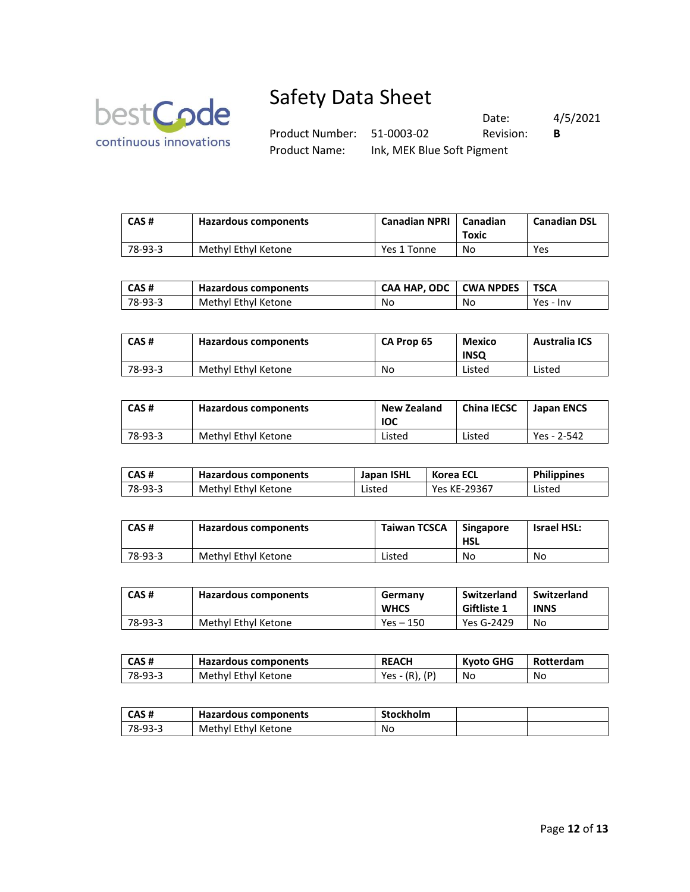

Date: 4/5/2021 Product Number: 51-0003-02 Revision: **B** Product Name: Ink, MEK Blue Soft Pigment

| CAS#    | Hazardous components | <b>Canadian NPRI</b> | Canadian<br>Toxic | <b>Canadian DSL</b> |
|---------|----------------------|----------------------|-------------------|---------------------|
| 78-93-3 | Methyl Ethyl Ketone  | Yes 1 Tonne          | No                | Yes                 |

| l CAS#  | Hazardous components | CAA HAP. ODC L CWA NPDES |    | <b>TSCA</b> |
|---------|----------------------|--------------------------|----|-------------|
| 78-93-3 | Methyl Ethyl Ketone  | No                       | No | Yes - Inv   |

| CAS#    | Hazardous components | <b>CA Prop 65</b> | Mexico<br><b>INSQ</b> | <b>Australia ICS</b> |
|---------|----------------------|-------------------|-----------------------|----------------------|
| 78-93-3 | Methyl Ethyl Ketone  | No                | Listed                | Listed               |

| CAS#    | Hazardous components | <b>New Zealand</b><br><b>IOC</b> | <b>China IECSC</b> | Japan ENCS  |
|---------|----------------------|----------------------------------|--------------------|-------------|
| 78-93-3 | Methyl Ethyl Ketone  | Listed                           | Listed             | Yes - 2-542 |

| l CAS#  | Hazardous components | Japan ISHL | Korea ECL    | <b>Philippines</b> |
|---------|----------------------|------------|--------------|--------------------|
| 78-93-3 | Methyl Ethyl Ketone  | Listed     | Yes KE-29367 | Listed             |

| CAS#    | Hazardous components | <b>Taiwan TCSCA</b> | <b>Singapore</b><br><b>HSL</b> | <b>Israel HSL:</b> |
|---------|----------------------|---------------------|--------------------------------|--------------------|
| 78-93-3 | Methyl Ethyl Ketone  | Listed              | No                             | No                 |

| CAS#    | Hazardous components | Germany<br><b>WHCS</b> | Switzerland<br><b>Giftliste 1</b> | Switzerland<br><b>INNS</b> |
|---------|----------------------|------------------------|-----------------------------------|----------------------------|
| 78-93-3 | Methyl Ethyl Ketone  | Yes – 150              | Yes G-2429                        | No                         |

| CAS #   | Hazardous components | <b>REACH</b>     | Kyoto GHG | Rotterdam |
|---------|----------------------|------------------|-----------|-----------|
| 78-93-3 | Methyl Ethyl Ketone  | $Yes - (R), (P)$ | No.       | No        |

| CAS#    | Hazardous components | <b>Stockholm</b> |  |
|---------|----------------------|------------------|--|
| 78-93-3 | Methyl Ethyl Ketone  | No               |  |